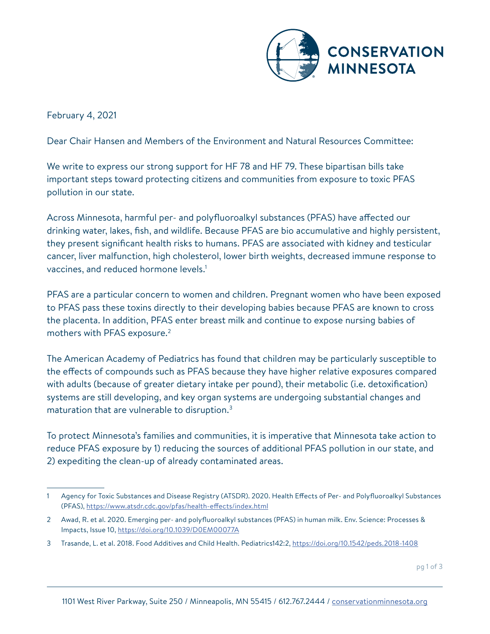

February 4, 2021

Dear Chair Hansen and Members of the Environment and Natural Resources Committee:

We write to express our strong support for HF 78 and HF 79. These bipartisan bills take important steps toward protecting citizens and communities from exposure to toxic PFAS pollution in our state.

Across Minnesota, harmful per- and polyfluoroalkyl substances (PFAS) have affected our drinking water, lakes, fish, and wildlife. Because PFAS are bio accumulative and highly persistent, they present significant health risks to humans. PFAS are associated with kidney and testicular cancer, liver malfunction, high cholesterol, lower birth weights, decreased immune response to vaccines, and reduced hormone levels.<sup>1</sup>

PFAS are a particular concern to women and children. Pregnant women who have been exposed to PFAS pass these toxins directly to their developing babies because PFAS are known to cross the placenta. In addition, PFAS enter breast milk and continue to expose nursing babies of mothers with PFAS exposure.2

The American Academy of Pediatrics has found that children may be particularly susceptible to the effects of compounds such as PFAS because they have higher relative exposures compared with adults (because of greater dietary intake per pound), their metabolic (i.e. detoxification) systems are still developing, and key organ systems are undergoing substantial changes and maturation that are vulnerable to disruption.3

To protect Minnesota's families and communities, it is imperative that Minnesota take action to reduce PFAS exposure by 1) reducing the sources of additional PFAS pollution in our state, and 2) expediting the clean-up of already contaminated areas.

pg 1 of 3

<sup>1</sup> Agency for Toxic Substances and Disease Registry (ATSDR). 2020. Health Effects of Per- and Polyfluoroalkyl Substances (PFAS),<https://www.atsdr.cdc.gov/pfas/health-effects/index.html>

<sup>2</sup> Awad, R. et al. 2020. Emerging per- and polyfluoroalkyl substances (PFAS) in human milk. Env. Science: Processes & Impacts, Issue 10,<https://doi.org/10.1039/D0EM00077A>

<sup>3</sup> Trasande, L. et al. 2018. Food Additives and Child Health. Pediatrics142:2, <https://doi.org/10.1542/peds.2018-1408>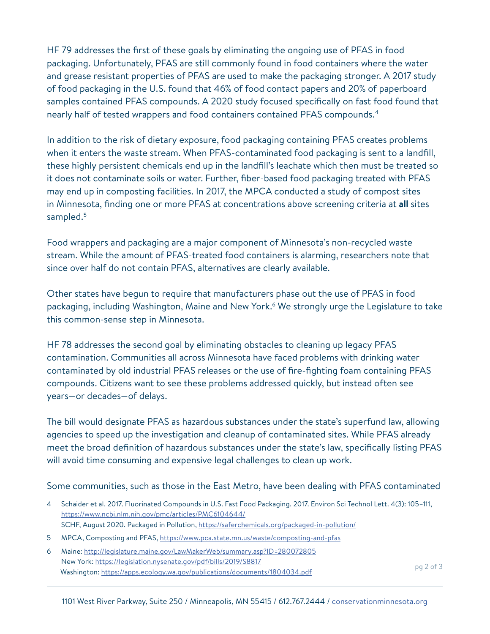HF 79 addresses the first of these goals by eliminating the ongoing use of PFAS in food packaging. Unfortunately, PFAS are still commonly found in food containers where the water and grease resistant properties of PFAS are used to make the packaging stronger. A 2017 study of food packaging in the U.S. found that 46% of food contact papers and 20% of paperboard samples contained PFAS compounds. A 2020 study focused specifically on fast food found that nearly half of tested wrappers and food containers contained PFAS compounds.<sup>4</sup>

In addition to the risk of dietary exposure, food packaging containing PFAS creates problems when it enters the waste stream. When PFAS-contaminated food packaging is sent to a landfill, these highly persistent chemicals end up in the landfill's leachate which then must be treated so it does not contaminate soils or water. Further, fiber-based food packaging treated with PFAS may end up in composting facilities. In 2017, the MPCA conducted a study of compost sites in Minnesota, finding one or more PFAS at concentrations above screening criteria at **all** sites sampled.<sup>5</sup>

Food wrappers and packaging are a major component of Minnesota's non-recycled waste stream. While the amount of PFAS-treated food containers is alarming, researchers note that since over half do not contain PFAS, alternatives are clearly available.

Other states have begun to require that manufacturers phase out the use of PFAS in food packaging, including Washington, Maine and New York.<sup>6</sup> We strongly urge the Legislature to take this common-sense step in Minnesota.

HF 78 addresses the second goal by eliminating obstacles to cleaning up legacy PFAS contamination. Communities all across Minnesota have faced problems with drinking water contaminated by old industrial PFAS releases or the use of fire-fighting foam containing PFAS compounds. Citizens want to see these problems addressed quickly, but instead often see years—or decades—of delays.

The bill would designate PFAS as hazardous substances under the state's superfund law, allowing agencies to speed up the investigation and cleanup of contaminated sites. While PFAS already meet the broad definition of hazardous substances under the state's law, specifically listing PFAS will avoid time consuming and expensive legal challenges to clean up work.

Some communities, such as those in the East Metro, have been dealing with PFAS contaminated

- 5 MPCA, Composting and PFAS, <https://www.pca.state.mn.us/waste/composting-and-pfas>
- 6 Maine:<http://legislature.maine.gov/LawMakerWeb/summary.asp?ID=280072805> New York: [https://legislation.nysenate.gov/pdf/bills/2019/S8817](http://legislation.nysenate.gov/pdf/bills/2019/S8817) pg 2 of 3<br>Washington: <https://apps.ecology.wa.gov/publications/documents/1804034.pdf>

<sup>4</sup> Schaider et al. 2017. Fluorinated Compounds in U.S. Fast Food Packaging. 2017. Environ Sci Technol Lett. 4(3): 105–111, <https://www.ncbi.nlm.nih.gov/pmc/articles/PMC6104644/> SCHF, August 2020. Packaged in Pollution,<https://saferchemicals.org/packaged-in-pollution/>